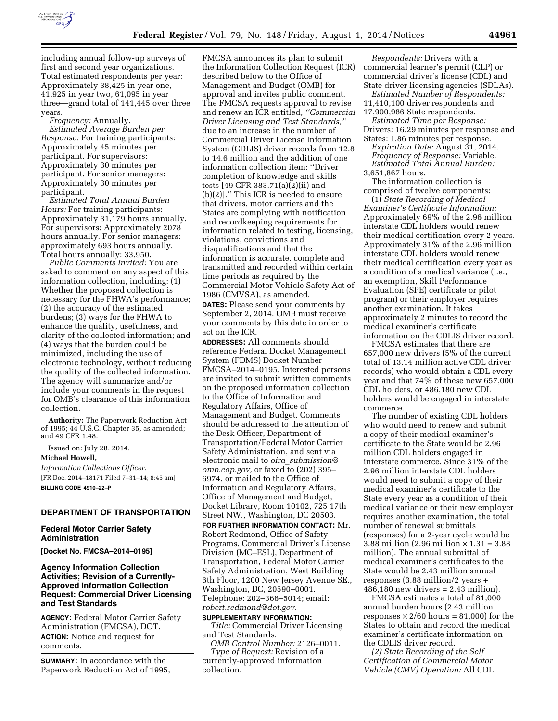

including annual follow-up surveys of first and second year organizations. Total estimated respondents per year: Approximately 38,425 in year one, 41,925 in year two, 61,095 in year three—grand total of 141,445 over three years.

*Frequency:* Annually.

*Estimated Average Burden per Response:* For training participants: Approximately 45 minutes per participant. For supervisors: Approximately 30 minutes per participant. For senior managers: Approximately 30 minutes per participant.

*Estimated Total Annual Burden Hours:* For training participants: Approximately 31,179 hours annually. For supervisors: Approximately 2078 hours annually. For senior managers: approximately 693 hours annually. Total hours annually: 33,950.

*Public Comments Invited:* You are asked to comment on any aspect of this information collection, including: (1) Whether the proposed collection is necessary for the FHWA's performance; (2) the accuracy of the estimated burdens; (3) ways for the FHWA to enhance the quality, usefulness, and clarity of the collected information; and (4) ways that the burden could be minimized, including the use of electronic technology, without reducing the quality of the collected information. The agency will summarize and/or include your comments in the request for OMB's clearance of this information collection.

**Authority:** The Paperwork Reduction Act of 1995; 44 U.S.C. Chapter 35, as amended; and 49 CFR 1.48.

Issued on: July 28, 2014.

## **Michael Howell,**

*Information Collections Officer.*  [FR Doc. 2014–18171 Filed 7–31–14; 8:45 am] **BILLING CODE 4910–22–P** 

# **DEPARTMENT OF TRANSPORTATION**

#### **Federal Motor Carrier Safety Administration**

**[Docket No. FMCSA–2014–0195]** 

### **Agency Information Collection Activities; Revision of a Currently-Approved Information Collection Request: Commercial Driver Licensing and Test Standards**

**AGENCY:** Federal Motor Carrier Safety Administration (FMCSA), DOT. **ACTION:** Notice and request for comments.

**SUMMARY:** In accordance with the Paperwork Reduction Act of 1995, FMCSA announces its plan to submit the Information Collection Request (ICR) described below to the Office of Management and Budget (OMB) for approval and invites public comment. The FMCSA requests approval to revise and renew an ICR entitled, *''Commercial Driver Licensing and Test Standards,''*  due to an increase in the number of Commercial Driver License Information System (CDLIS) driver records from 12.8 to 14.6 million and the addition of one information collection item: ''Driver completion of knowledge and skills tests [49 CFR 383.71(a)(2)(ii) and (b)(2)].'' This ICR is needed to ensure that drivers, motor carriers and the States are complying with notification and recordkeeping requirements for information related to testing, licensing, violations, convictions and disqualifications and that the information is accurate, complete and transmitted and recorded within certain time periods as required by the Commercial Motor Vehicle Safety Act of 1986 (CMVSA), as amended.

**DATES:** Please send your comments by September 2, 2014. OMB must receive your comments by this date in order to act on the ICR.

**ADDRESSES:** All comments should reference Federal Docket Management System (FDMS) Docket Number FMCSA–2014–0195. Interested persons are invited to submit written comments on the proposed information collection to the Office of Information and Regulatory Affairs, Office of Management and Budget. Comments should be addressed to the attention of the Desk Officer, Department of Transportation/Federal Motor Carrier Safety Administration, and sent via electronic mail to *oira*\_*[submission@](mailto:oira_submission@omb.eop.gov) [omb.eop.gov,](mailto:oira_submission@omb.eop.gov)* or faxed to (202) 395– 6974, or mailed to the Office of Information and Regulatory Affairs, Office of Management and Budget, Docket Library, Room 10102, 725 17th Street NW., Washington, DC 20503.

**FOR FURTHER INFORMATION CONTACT:** Mr. Robert Redmond, Office of Safety Programs, Commercial Driver's License Division (MC–ESL), Department of Transportation, Federal Motor Carrier Safety Administration, West Building 6th Floor, 1200 New Jersey Avenue SE., Washington, DC, 20590–0001. Telephone: 202–366–5014; email: *[robert.redmond@dot.gov.](mailto:robert.redmond@dot.gov)* 

### **SUPPLEMENTARY INFORMATION:**

*Title:* Commercial Driver Licensing and Test Standards.

*OMB Control Number:* 2126–0011. *Type of Request:* Revision of a currently-approved information collection.

*Respondents:* Drivers with a commercial learner's permit (CLP) or commercial driver's license (CDL) and State driver licensing agencies (SDLAs).

*Estimated Number of Respondents:*  11,410,100 driver respondents and 17,900,986 State respondents.

*Estimated Time per Response:*  Drivers: 16.29 minutes per response and States: 1.86 minutes per response.

*Expiration Date:* August 31, 2014. *Frequency of Response:* Variable. *Estimated Total Annual Burden:*  3,651,867 hours.

The information collection is

comprised of twelve components:

(1) *State Recording of Medical Examiner's Certificate Information:*  Approximately 69% of the 2.96 million interstate CDL holders would renew their medical certification every 2 years. Approximately 31% of the 2.96 million interstate CDL holders would renew their medical certification every year as a condition of a medical variance (i.e., an exemption, Skill Performance Evaluation (SPE) certificate or pilot program) or their employer requires another examination. It takes approximately 2 minutes to record the medical examiner's certificate information on the CDLIS driver record.

FMCSA estimates that there are 657,000 new drivers (5% of the current total of 13.14 million active CDL driver records) who would obtain a CDL every year and that 74% of these new 657,000 CDL holders, or 486,180 new CDL holders would be engaged in interstate commerce.

The number of existing CDL holders who would need to renew and submit a copy of their medical examiner's certificate to the State would be 2.96 million CDL holders engaged in interstate commerce. Since 31% of the 2.96 million interstate CDL holders would need to submit a copy of their medical examiner's certificate to the State every year as a condition of their medical variance or their new employer requires another examination, the total number of renewal submittals (responses) for a 2-year cycle would be 3.88 million (2.96 million  $\times$  1.31 = 3.88 million). The annual submittal of medical examiner's certificates to the State would be 2.43 million annual responses (3.88 million/2 years + 486,180 new drivers = 2.43 million).

FMCSA estimates a total of 81,000 annual burden hours (2.43 million responses  $\times$  2/60 hours = 81,000) for the States to obtain and record the medical examiner's certificate information on the CDLIS driver record.

*(2) State Recording of the Self Certification of Commercial Motor Vehicle (CMV) Operation:* All CDL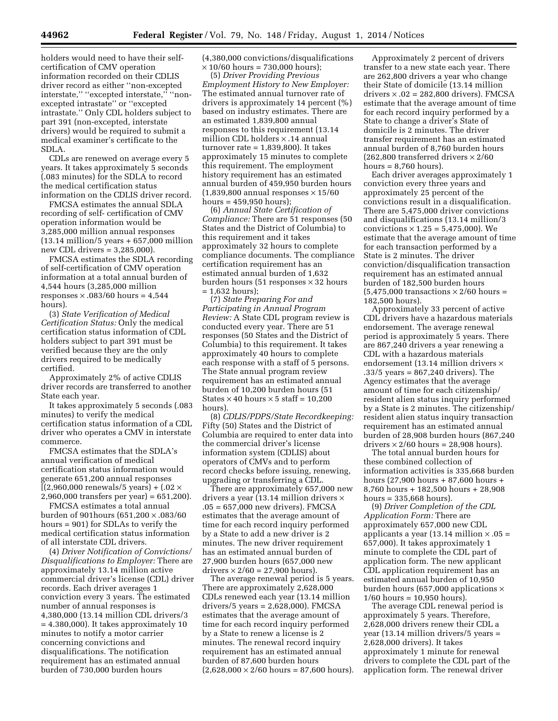holders would need to have their selfcertification of CMV operation information recorded on their CDLIS driver record as either ''non-excepted interstate," "excepted interstate," "nonexcepted intrastate'' or ''excepted intrastate.'' Only CDL holders subject to part 391 (non-excepted, interstate drivers) would be required to submit a medical examiner's certificate to the SDLA.

CDLs are renewed on average every 5 years. It takes approximately 5 seconds (.083 minutes) for the SDLA to record the medical certification status information on the CDLIS driver record.

FMCSA estimates the annual SDLA recording of self- certification of CMV operation information would be 3,285,000 million annual responses (13.14 million/5 years + 657,000 million new CDL drivers = 3,285,000).

FMCSA estimates the SDLA recording of self-certification of CMV operation information at a total annual burden of 4,544 hours (3,285,000 million responses  $\times$  .083/60 hours = 4,544 hours).

(3) *State Verification of Medical Certification Status:* Only the medical certification status information of CDL holders subject to part 391 must be verified because they are the only drivers required to be medically certified.

Approximately 2% of active CDLIS driver records are transferred to another State each year.

It takes approximately 5 seconds (.083 minutes) to verify the medical certification status information of a CDL driver who operates a CMV in interstate commerce.

FMCSA estimates that the SDLA's annual verification of medical certification status information would generate 651,200 annual responses  $[(2,960,000$  renewals/5 years) +  $(.02 \times$ 2,960,000 transfers per year) = 651,200).

FMCSA estimates a total annual burden of 901hours (651,200 × .083/60 hours = 901) for SDLAs to verify the medical certification status information of all interstate CDL drivers.

(4) *Driver Notification of Convictions/ Disqualifications to Employer:* There are approximately 13.14 million active commercial driver's license (CDL) driver records. Each driver averages 1 conviction every 3 years. The estimated number of annual responses is 4,380,000 (13.14 million CDL drivers/3 = 4.380,000). It takes approximately 10 minutes to notify a motor carrier concerning convictions and disqualifications. The notification requirement has an estimated annual burden of 730,000 burden hours

(4,380,000 convictions/disqualifications  $\times$  10/60 hours = 730,000 hours);

(5) *Driver Providing Previous Employment History to New Employer:*  The estimated annual turnover rate of drivers is approximately 14 percent (%) based on industry estimates. There are an estimated 1,839,800 annual responses to this requirement (13.14 million CDL holders × .14 annual turnover rate  $= 1,839,800$ . It takes approximately 15 minutes to complete this requirement. The employment history requirement has an estimated annual burden of 459,950 burden hours  $(1,839,800$  annual responses  $\times 15/60$ hours  $= 459,950$  hours);

(6) *Annual State Certification of Compliance:* There are 51 responses (50 States and the District of Columbia) to this requirement and it takes approximately 32 hours to complete compliance documents. The compliance certification requirement has an estimated annual burden of 1,632 burden hours (51 responses  $\times$  32 hours = 1,632 hours);

(7) *State Preparing For and Participating in Annual Program Review:* A State CDL program review is conducted every year. There are 51 responses (50 States and the District of Columbia) to this requirement. It takes approximately 40 hours to complete each response with a staff of 5 persons. The State annual program review requirement has an estimated annual burden of 10,200 burden hours (51 States  $\times$  40 hours  $\times$  5 staff = 10,200 hours).

(8) *CDLIS/PDPS/State Recordkeeping:*  Fifty (50) States and the District of Columbia are required to enter data into the commercial driver's license information system (CDLIS) about operators of CMVs and to perform record checks before issuing, renewing, upgrading or transferring a CDL.

There are approximately 657,000 new drivers a year (13.14 million drivers  $\times$ .05 = 657,000 new drivers). FMCSA estimates that the average amount of time for each record inquiry performed by a State to add a new driver is 2 minutes. The new driver requirement has an estimated annual burden of 27,900 burden hours (657,000 new drivers  $\times$  2/60 = 27,900 hours).

The average renewal period is 5 years. There are approximately 2,628,000 CDLs renewed each year (13.14 million drivers/5 years = 2,628,000). FMCSA estimates that the average amount of time for each record inquiry performed by a State to renew a license is 2 minutes. The renewal record inquiry requirement has an estimated annual burden of 87,600 burden hours  $(2,628,000 \times 2/60 \text{ hours} = 87,600 \text{ hours}).$ 

Approximately 2 percent of drivers transfer to a new state each year. There are 262,800 drivers a year who change their State of domicile (13.14 million drivers  $\times$  .02 = 282,800 drivers). FMCSA estimate that the average amount of time for each record inquiry performed by a State to change a driver's State of domicile is 2 minutes. The driver transfer requirement has an estimated annual burden of 8,760 burden hours  $(262.800$  transferred drivers  $\times 2/60$ hours  $= 8,760$  hours).

Each driver averages approximately 1 conviction every three years and approximately 25 percent of the convictions result in a disqualification. There are 5,475,000 driver convictions and disqualifications (13.14 million/3 convictions  $\times$  1.25 = 5,475,000). We estimate that the average amount of time for each transaction performed by a State is 2 minutes. The driver conviction/disqualification transaction requirement has an estimated annual burden of 182,500 burden hours  $(5,475,000$  transactions  $\times$  2/60 hours = 182,500 hours).

Approximately 33 percent of active CDL drivers have a hazardous materials endorsement. The average renewal period is approximately 5 years. There are 867,240 drivers a year renewing a CDL with a hazardous materials endorsement (13.14 million drivers × .33/5 years = 867,240 drivers). The Agency estimates that the average amount of time for each citizenship/ resident alien status inquiry performed by a State is 2 minutes. The citizenship/ resident alien status inquiry transaction requirement has an estimated annual burden of 28,908 burden hours (867,240 drivers  $\times$  2/60 hours = 28,908 hours).

The total annual burden hours for these combined collection of information activities is 335,668 burden hours (27,900 hours + 87,600 hours + 8,760 hours + 182,500 hours + 28,908 hours  $= 335,668$  hours).

(9) *Driver Completion of the CDL Application Form:* There are approximately 657,000 new CDL applicants a year (13.14 million  $\times$  .05 = 657,000). It takes approximately 1 minute to complete the CDL part of application form. The new applicant CDL application requirement has an estimated annual burden of 10,950 burden hours (657,000 applications  $\times$ 1/60 hours = 10,950 hours).

The average CDL renewal period is approximately 5 years. Therefore, 2,628,000 drivers renew their CDL a year (13.14 million drivers/5 years = 2,628,000 drivers). It takes approximately 1 minute for renewal drivers to complete the CDL part of the application form. The renewal driver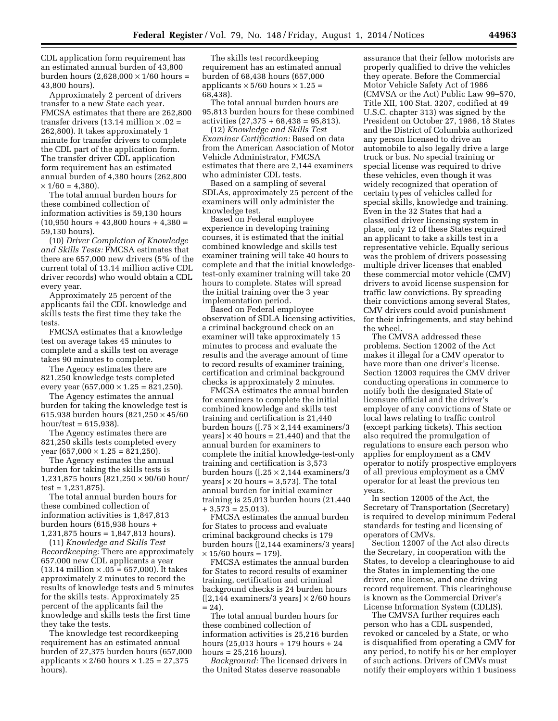CDL application form requirement has an estimated annual burden of 43,800 burden hours  $(2,628,000 \times 1/60$  hours = 43,800 hours).

Approximately 2 percent of drivers transfer to a new State each year. FMCSA estimates that there are 262,800 transfer drivers (13.14 million  $\times$  .02 = 262,800). It takes approximately 1 minute for transfer drivers to complete the CDL part of the application form. The transfer driver CDL application form requirement has an estimated annual burden of 4,380 hours (262,800  $\times$  1/60 = 4.380).

The total annual burden hours for these combined collection of information activities is 59,130 hours  $(10,950 \text{ hours} + 43,800 \text{ hours} + 4,380)$ 59,130 hours).

(10) *Driver Completion of Knowledge and Skills Tests:* FMCSA estimates that there are 657,000 new drivers (5% of the current total of 13.14 million active CDL driver records) who would obtain a CDL every year.

Approximately 25 percent of the applicants fail the CDL knowledge and skills tests the first time they take the tests.

FMCSA estimates that a knowledge test on average takes 45 minutes to complete and a skills test on average takes 90 minutes to complete.

The Agency estimates there are 821,250 knowledge tests completed every year  $(657,000 \times 1.25 = 821,250)$ .

The Agency estimates the annual burden for taking the knowledge test is 615,938 burden hours (821,250 × 45/60  $hour/test = 615,938$ ).

The Agency estimates there are 821,250 skills tests completed every year  $(657,000 \times 1.25 = 821,250)$ .

The Agency estimates the annual burden for taking the skills tests is 1,231,875 hours (821,250 × 90/60 hour/  $test = 1,231,875$ .

The total annual burden hours for these combined collection of information activities is 1,847,813 burden hours (615,938 hours + 1,231,875 hours = 1,847,813 hours).

(11) *Knowledge and Skills Test Recordkeeping:* There are approximately 657,000 new CDL applicants a year  $(13.14 \text{ million} \times .05 = 657,000)$ . It takes approximately 2 minutes to record the results of knowledge tests and 5 minutes for the skills tests. Approximately 25 percent of the applicants fail the knowledge and skills tests the first time they take the tests.

The knowledge test recordkeeping requirement has an estimated annual burden of 27,375 burden hours (657,000 applicants  $\times$  2/60 hours  $\times$  1.25 = 27,375 hours).

The skills test recordkeeping requirement has an estimated annual burden of 68,438 hours (657,000 applicants  $\times$  5/60 hours  $\times$  1.25 = 68,438).

The total annual burden hours are 95,813 burden hours for these combined  $\arctivities$  (27,375 + 68,438 = 95,813).

(12) *Knowledge and Skills Test Examiner Certification:* Based on data from the American Association of Motor Vehicle Administrator, FMCSA estimates that there are 2,144 examiners who administer CDL tests.

Based on a sampling of several SDLAs, approximately 25 percent of the examiners will only administer the knowledge test.

Based on Federal employee experience in developing training courses, it is estimated that the initial combined knowledge and skills test examiner training will take 40 hours to complete and that the initial knowledgetest-only examiner training will take 20 hours to complete. States will spread the initial training over the 3 year implementation period.

Based on Federal employee observation of SDLA licensing activities, a criminal background check on an examiner will take approximately 15 minutes to process and evaluate the results and the average amount of time to record results of examiner training, certification and criminal background checks is approximately 2 minutes.

FMCSA estimates the annual burden for examiners to complete the initial combined knowledge and skills test training and certification is 21,440 burden hours ( $[0.75 \times 2, 144]$  examiners/3 years]  $\times$  40 hours = 21,440) and that the annual burden for examiners to complete the initial knowledge-test-only training and certification is 3,573 burden hours ([.25 × 2,144 examiners/3 years]  $\times$  20 hours = 3,573). The total annual burden for initial examiner training is 25,013 burden hours (21,440  $+3,573 = 25,013$ .

FMCSA estimates the annual burden for States to process and evaluate criminal background checks is 179 burden hours ([2,144 examiners/3 years]  $\times$  15/60 hours = 179).

FMCSA estimates the annual burden for States to record results of examiner training, certification and criminal background checks is 24 burden hours  $([2,144$  examiners/3 years]  $\times$  2/60 hours  $= 24$ .

The total annual burden hours for these combined collection of information activities is 25,216 burden hours (25,013 hours + 179 hours + 24 hours  $= 25,216$  hours).

*Background:* The licensed drivers in the United States deserve reasonable

assurance that their fellow motorists are properly qualified to drive the vehicles they operate. Before the Commercial Motor Vehicle Safety Act of 1986 (CMVSA or the Act) Public Law 99–570, Title XII, 100 Stat. 3207, codified at 49 U.S.C. chapter 313) was signed by the President on October 27, 1986, 18 States and the District of Columbia authorized any person licensed to drive an automobile to also legally drive a large truck or bus. No special training or special license was required to drive these vehicles, even though it was widely recognized that operation of certain types of vehicles called for special skills, knowledge and training. Even in the 32 States that had a classified driver licensing system in place, only 12 of these States required an applicant to take a skills test in a representative vehicle. Equally serious was the problem of drivers possessing multiple driver licenses that enabled these commercial motor vehicle (CMV) drivers to avoid license suspension for traffic law convictions. By spreading their convictions among several States, CMV drivers could avoid punishment for their infringements, and stay behind the wheel.

The CMVSA addressed these problems. Section 12002 of the Act makes it illegal for a CMV operator to have more than one driver's license. Section 12003 requires the CMV driver conducting operations in commerce to notify both the designated State of licensure official and the driver's employer of any convictions of State or local laws relating to traffic control (except parking tickets). This section also required the promulgation of regulations to ensure each person who applies for employment as a CMV operator to notify prospective employers of all previous employment as a CMV operator for at least the previous ten years.

In section 12005 of the Act, the Secretary of Transportation (Secretary) is required to develop minimum Federal standards for testing and licensing of operators of CMVs.

Section 12007 of the Act also directs the Secretary, in cooperation with the States, to develop a clearinghouse to aid the States in implementing the one driver, one license, and one driving record requirement. This clearinghouse is known as the Commercial Driver's License Information System (CDLIS).

The CMVSA further requires each person who has a CDL suspended, revoked or canceled by a State, or who is disqualified from operating a CMV for any period, to notify his or her employer of such actions. Drivers of CMVs must notify their employers within 1 business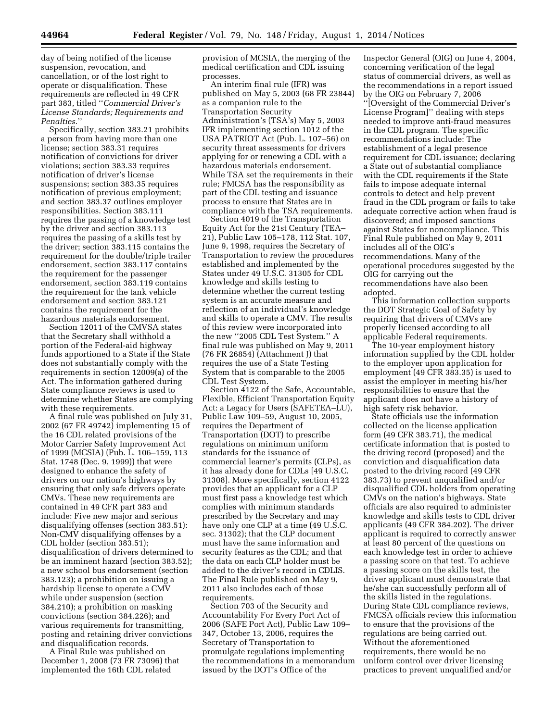day of being notified of the license suspension, revocation, and cancellation, or of the lost right to operate or disqualification. These requirements are reflected in 49 CFR part 383, titled ''*Commercial Driver's License Standards; Requirements and Penalties*.''

Specifically, section 383.21 prohibits a person from having more than one license; section 383.31 requires notification of convictions for driver violations; section 383.33 requires notification of driver's license suspensions; section 383.35 requires notification of previous employment; and section 383.37 outlines employer responsibilities. Section 383.111 requires the passing of a knowledge test by the driver and section 383.113 requires the passing of a skills test by the driver; section 383.115 contains the requirement for the double/triple trailer endorsement, section 383.117 contains the requirement for the passenger endorsement, section 383.119 contains the requirement for the tank vehicle endorsement and section 383.121 contains the requirement for the hazardous materials endorsement.

Section 12011 of the CMVSA states that the Secretary shall withhold a portion of the Federal-aid highway funds apportioned to a State if the State does not substantially comply with the requirements in section 12009(a) of the Act. The information gathered during State compliance reviews is used to determine whether States are complying with these requirements.

A final rule was published on July 31, 2002 (67 FR 49742) implementing 15 of the 16 CDL related provisions of the Motor Carrier Safety Improvement Act of 1999 (MCSIA) (Pub. L. 106–159, 113 Stat. 1748 (Dec. 9, 1999)) that were designed to enhance the safety of drivers on our nation's highways by ensuring that only safe drivers operate CMVs. These new requirements are contained in 49 CFR part 383 and include: Five new major and serious disqualifying offenses (section 383.51): Non-CMV disqualifying offenses by a CDL holder (section 383.51); disqualification of drivers determined to be an imminent hazard (section 383.52); a new school bus endorsement (section 383.123); a prohibition on issuing a hardship license to operate a CMV while under suspension (section 384.210); a prohibition on masking convictions (section 384.226); and various requirements for transmitting, posting and retaining driver convictions and disqualification records.

A Final Rule was published on December 1, 2008 (73 FR 73096) that implemented the 16th CDL related

provision of MCSIA, the merging of the medical certification and CDL issuing processes.

An interim final rule (IFR) was published on May 5, 2003 (68 FR 23844) as a companion rule to the Transportation Security Administration's (TSA's) May 5, 2003 IFR implementing section 1012 of the USA PATRIOT Act (Pub. L. 107–56) on security threat assessments for drivers applying for or renewing a CDL with a hazardous materials endorsement. While TSA set the requirements in their rule; FMCSA has the responsibility as part of the CDL testing and issuance process to ensure that States are in compliance with the TSA requirements.

Section 4019 of the Transportation Equity Act for the 21st Century (TEA– 21), Public Law 105–178, 112 Stat. 107, June 9, 1998, requires the Secretary of Transportation to review the procedures established and implemented by the States under 49 U.S.C. 31305 for CDL knowledge and skills testing to determine whether the current testing system is an accurate measure and reflection of an individual's knowledge and skills to operate a CMV. The results of this review were incorporated into the new ''2005 CDL Test System.'' A final rule was published on May 9, 2011 (76 FR 26854) (Attachment J) that requires the use of a State Testing System that is comparable to the 2005 CDL Test System.

Section 4122 of the Safe, Accountable, Flexible, Efficient Transportation Equity Act: a Legacy for Users (SAFETEA–LU), Public Law 109–59, August 10, 2005, requires the Department of Transportation (DOT) to prescribe regulations on minimum uniform standards for the issuance of commercial learner's permits (CLPs), as it has already done for CDLs [49 U.S.C. 31308]. More specifically, section 4122 provides that an applicant for a CLP must first pass a knowledge test which complies with minimum standards prescribed by the Secretary and may have only one CLP at a time (49 U.S.C. sec. 31302); that the CLP document must have the same information and security features as the CDL; and that the data on each CLP holder must be added to the driver's record in CDLIS. The Final Rule published on May 9, 2011 also includes each of those requirements.

Section 703 of the Security and Accountability For Every Port Act of 2006 (SAFE Port Act), Public Law 109– 347, October 13, 2006, requires the Secretary of Transportation to promulgate regulations implementing the recommendations in a memorandum issued by the DOT's Office of the

Inspector General (OIG) on June 4, 2004, concerning verification of the legal status of commercial drivers, as well as the recommendations in a report issued by the OIG on February 7, 2006 ''[Oversight of the Commercial Driver's License Program]'' dealing with steps needed to improve anti-fraud measures in the CDL program. The specific recommendations include: The establishment of a legal presence requirement for CDL issuance; declaring a State out of substantial compliance with the CDL requirements if the State fails to impose adequate internal controls to detect and help prevent fraud in the CDL program or fails to take adequate corrective action when fraud is discovered; and imposed sanctions against States for noncompliance. This Final Rule published on May 9, 2011 includes all of the OIG's recommendations. Many of the operational procedures suggested by the OIG for carrying out the recommendations have also been adopted.

This information collection supports the DOT Strategic Goal of Safety by requiring that drivers of CMVs are properly licensed according to all applicable Federal requirements.

The 10-year employment history information supplied by the CDL holder to the employer upon application for employment (49 CFR 383.35) is used to assist the employer in meeting his/her responsibilities to ensure that the applicant does not have a history of high safety risk behavior.

State officials use the information collected on the license application form (49 CFR 383.71), the medical certificate information that is posted to the driving record (proposed) and the conviction and disqualification data posted to the driving record (49 CFR 383.73) to prevent unqualified and/or disqualified CDL holders from operating CMVs on the nation's highways. State officials are also required to administer knowledge and skills tests to CDL driver applicants (49 CFR 384.202). The driver applicant is required to correctly answer at least 80 percent of the questions on each knowledge test in order to achieve a passing score on that test. To achieve a passing score on the skills test, the driver applicant must demonstrate that he/she can successfully perform all of the skills listed in the regulations. During State CDL compliance reviews, FMCSA officials review this information to ensure that the provisions of the regulations are being carried out. Without the aforementioned requirements, there would be no uniform control over driver licensing practices to prevent unqualified and/or